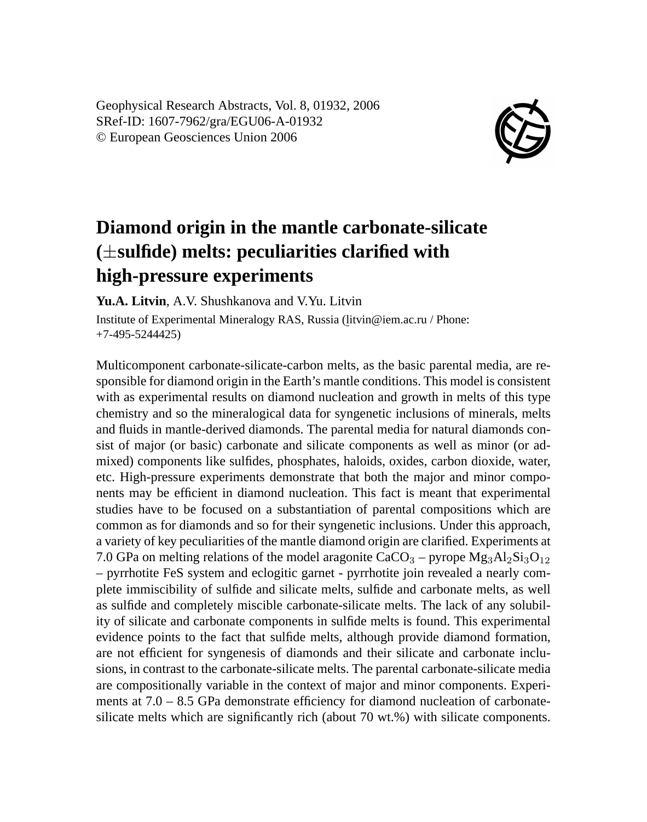Geophysical Research Abstracts, Vol. 8, 01932, 2006 SRef-ID: 1607-7962/gra/EGU06-A-01932 © European Geosciences Union 2006



## **Diamond origin in the mantle carbonate-silicate (**±**sulfide) melts: peculiarities clarified with high-pressure experiments**

**Yu.A. Litvin**, A.V. Shushkanova and V.Yu. Litvin

Institute of Experimental Mineralogy RAS, Russia (litvin@iem.ac.ru / Phone: +7-495-5244425)

Multicomponent carbonate-silicate-carbon melts, as the basic parental media, are responsible for diamond origin in the Earth's mantle conditions. This model is consistent with as experimental results on diamond nucleation and growth in melts of this type chemistry and so the mineralogical data for syngenetic inclusions of minerals, melts and fluids in mantle-derived diamonds. The parental media for natural diamonds consist of major (or basic) carbonate and silicate components as well as minor (or admixed) components like sulfides, phosphates, haloids, oxides, carbon dioxide, water, etc. High-pressure experiments demonstrate that both the major and minor components may be efficient in diamond nucleation. This fact is meant that experimental studies have to be focused on a substantiation of parental compositions which are common as for diamonds and so for their syngenetic inclusions. Under this approach, a variety of key peculiarities of the mantle diamond origin are clarified. Experiments at 7.0 GPa on melting relations of the model aragonite CaCO<sub>3</sub> – pyrope  $Mg_3Al_2Si_3O_{12}$ – pyrrhotite FeS system and eclogitic garnet - pyrrhotite join revealed a nearly complete immiscibility of sulfide and silicate melts, sulfide and carbonate melts, as well as sulfide and completely miscible carbonate-silicate melts. The lack of any solubility of silicate and carbonate components in sulfide melts is found. This experimental evidence points to the fact that sulfide melts, although provide diamond formation, are not efficient for syngenesis of diamonds and their silicate and carbonate inclusions, in contrast to the carbonate-silicate melts. The parental carbonate-silicate media are compositionally variable in the context of major and minor components. Experiments at 7.0 – 8.5 GPa demonstrate efficiency for diamond nucleation of carbonatesilicate melts which are significantly rich (about 70 wt.%) with silicate components.